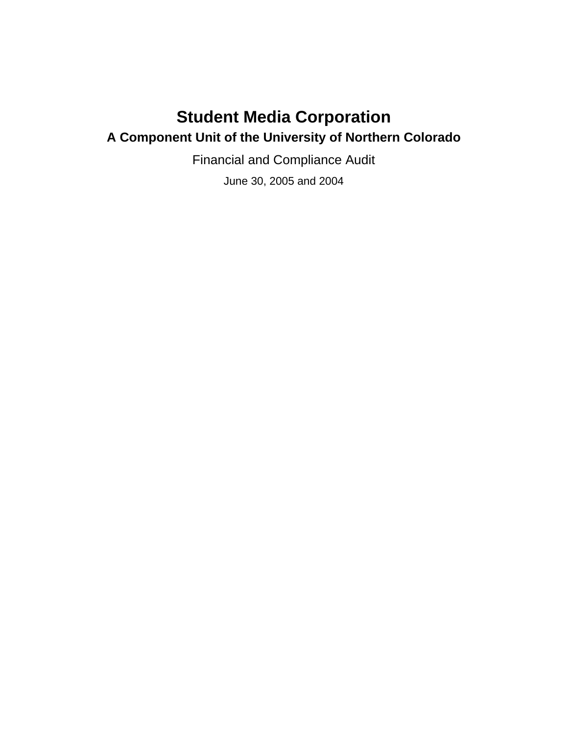# **Student Media Corporation**

# **A Component Unit of the University of Northern Colorado**

Financial and Compliance Audit

June 30, 2005 and 2004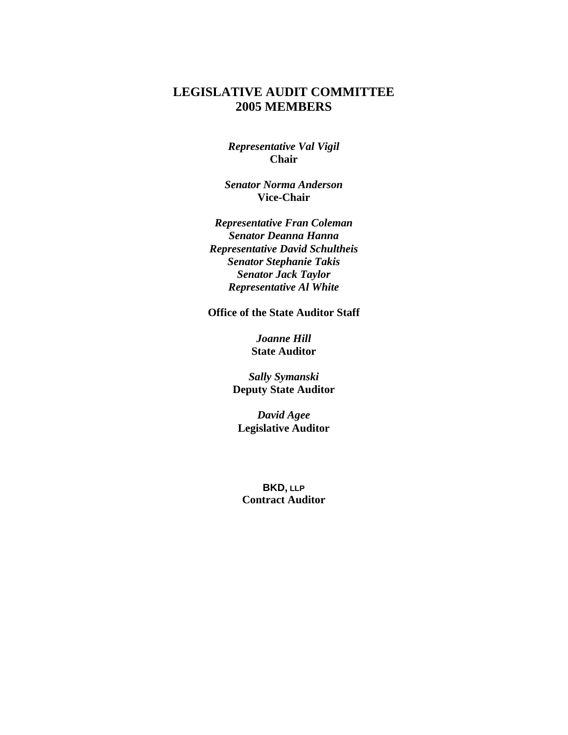### **LEGISLATIVE AUDIT COMMITTEE 2005 MEMBERS**

*Representative Val Vigil*  **Chair** 

*Senator Norma Anderson*  **Vice-Chair** 

*Representative Fran Coleman Senator Deanna Hanna Representative David Schultheis Senator Stephanie Takis Senator Jack Taylor Representative Al White* 

**Office of the State Auditor Staff** 

*Joanne Hill*  **State Auditor** 

*Sally Symanski*  **Deputy State Auditor** 

*David Agee*  **Legislative Auditor** 

**BKD, LLP Contract Auditor**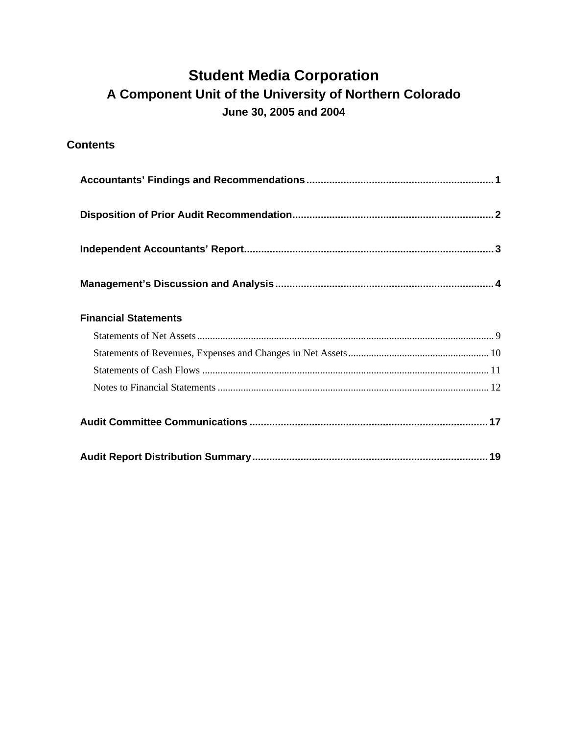# **Student Media Corporation A Component Unit of the University of Northern Colorado June 30, 2005 and 2004**

**Contents** 

| <b>Financial Statements</b> |
|-----------------------------|
|                             |
|                             |
|                             |
|                             |
|                             |
|                             |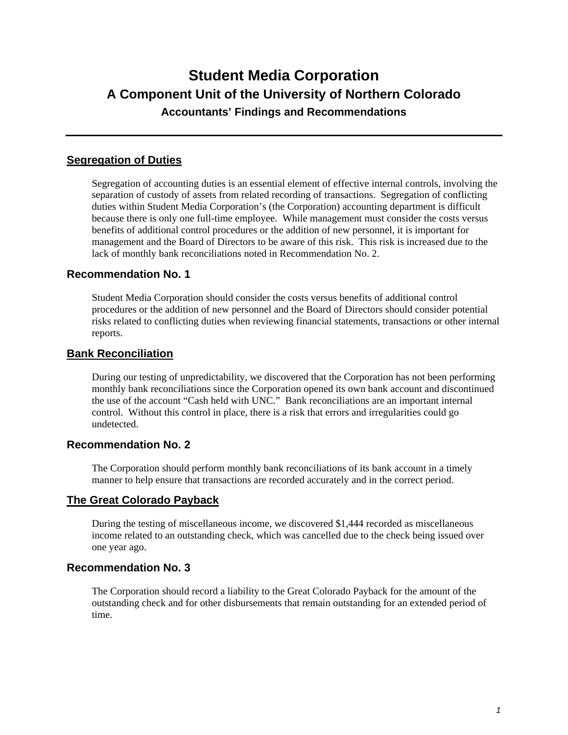# **Student Media Corporation A Component Unit of the University of Northern Colorado Accountants' Findings and Recommendations**

### **Segregation of Duties**

Segregation of accounting duties is an essential element of effective internal controls, involving the separation of custody of assets from related recording of transactions. Segregation of conflicting duties within Student Media Corporation's (the Corporation) accounting department is difficult because there is only one full-time employee. While management must consider the costs versus benefits of additional control procedures or the addition of new personnel, it is important for management and the Board of Directors to be aware of this risk. This risk is increased due to the lack of monthly bank reconciliations noted in Recommendation No. 2.

### **Recommendation No. 1**

Student Media Corporation should consider the costs versus benefits of additional control procedures or the addition of new personnel and the Board of Directors should consider potential risks related to conflicting duties when reviewing financial statements, transactions or other internal reports.

### **Bank Reconciliation**

During our testing of unpredictability, we discovered that the Corporation has not been performing monthly bank reconciliations since the Corporation opened its own bank account and discontinued the use of the account "Cash held with UNC." Bank reconciliations are an important internal control. Without this control in place, there is a risk that errors and irregularities could go undetected.

### **Recommendation No. 2**

The Corporation should perform monthly bank reconciliations of its bank account in a timely manner to help ensure that transactions are recorded accurately and in the correct period.

### **The Great Colorado Payback**

During the testing of miscellaneous income, we discovered \$1,444 recorded as miscellaneous income related to an outstanding check, which was cancelled due to the check being issued over one year ago.

### **Recommendation No. 3**

The Corporation should record a liability to the Great Colorado Payback for the amount of the outstanding check and for other disbursements that remain outstanding for an extended period of time.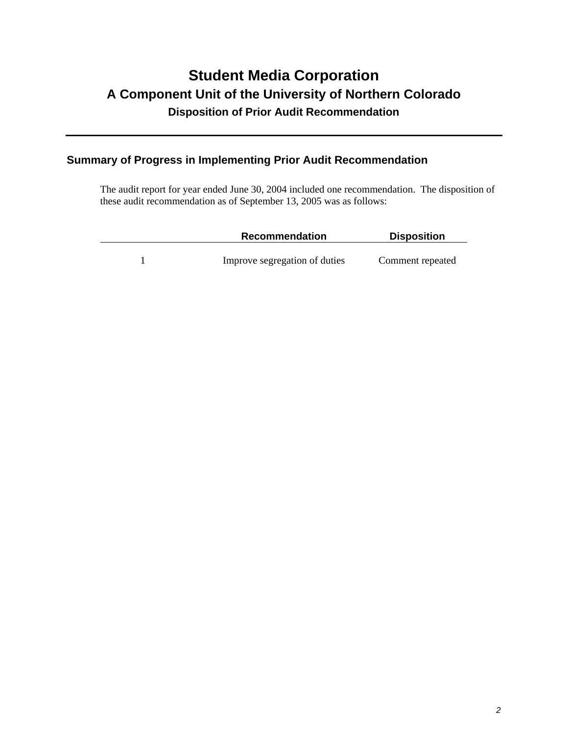# **Student Media Corporation A Component Unit of the University of Northern Colorado Disposition of Prior Audit Recommendation**

### **Summary of Progress in Implementing Prior Audit Recommendation**

The audit report for year ended June 30, 2004 included one recommendation. The disposition of these audit recommendation as of September 13, 2005 was as follows:

| Recommendation                | <b>Disposition</b> |
|-------------------------------|--------------------|
| Improve segregation of duties | Comment repeated   |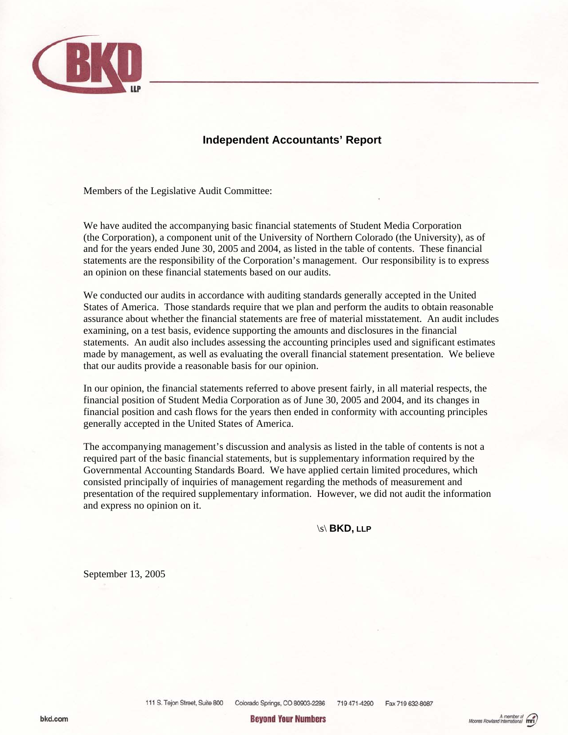

### **Independent Accountants' Report**

Members of the Legislative Audit Committee:

We have audited the accompanying basic financial statements of Student Media Corporation (the Corporation), a component unit of the University of Northern Colorado (the University), as of and for the years ended June 30, 2005 and 2004, as listed in the table of contents. These financial statements are the responsibility of the Corporation's management. Our responsibility is to express an opinion on these financial statements based on our audits.

We conducted our audits in accordance with auditing standards generally accepted in the United States of America. Those standards require that we plan and perform the audits to obtain reasonable assurance about whether the financial statements are free of material misstatement. An audit includes examining, on a test basis, evidence supporting the amounts and disclosures in the financial statements. An audit also includes assessing the accounting principles used and significant estimates made by management, as well as evaluating the overall financial statement presentation. We believe that our audits provide a reasonable basis for our opinion.

In our opinion, the financial statements referred to above present fairly, in all material respects, the financial position of Student Media Corporation as of June 30, 2005 and 2004, and its changes in financial position and cash flows for the years then ended in conformity with accounting principles generally accepted in the United States of America.

The accompanying management's discussion and analysis as listed in the table of contents is not a required part of the basic financial statements, but is supplementary information required by the Governmental Accounting Standards Board. We have applied certain limited procedures, which consisted principally of inquiries of management regarding the methods of measurement and presentation of the required supplementary information. However, we did not audit the information and express no opinion on it.

\s\ **BKD, LLP** 

September 13, 2005

**Bevond Your Numbers**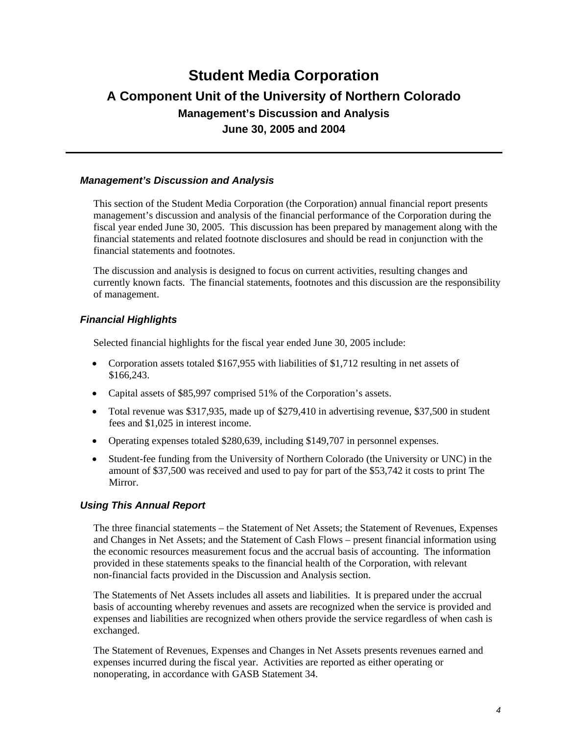#### *Management's Discussion and Analysis*

This section of the Student Media Corporation (the Corporation) annual financial report presents management's discussion and analysis of the financial performance of the Corporation during the fiscal year ended June 30, 2005. This discussion has been prepared by management along with the financial statements and related footnote disclosures and should be read in conjunction with the financial statements and footnotes.

The discussion and analysis is designed to focus on current activities, resulting changes and currently known facts. The financial statements, footnotes and this discussion are the responsibility of management.

### *Financial Highlights*

Selected financial highlights for the fiscal year ended June 30, 2005 include:

- Corporation assets totaled \$167,955 with liabilities of \$1,712 resulting in net assets of \$166,243.
- Capital assets of \$85,997 comprised 51% of the Corporation's assets.
- Total revenue was \$317,935, made up of \$279,410 in advertising revenue, \$37,500 in student fees and \$1,025 in interest income.
- Operating expenses totaled \$280,639, including \$149,707 in personnel expenses.
- Student-fee funding from the University of Northern Colorado (the University or UNC) in the amount of \$37,500 was received and used to pay for part of the \$53,742 it costs to print The Mirror.

### *Using This Annual Report*

The three financial statements – the Statement of Net Assets; the Statement of Revenues, Expenses and Changes in Net Assets; and the Statement of Cash Flows – present financial information using the economic resources measurement focus and the accrual basis of accounting. The information provided in these statements speaks to the financial health of the Corporation, with relevant non-financial facts provided in the Discussion and Analysis section.

The Statements of Net Assets includes all assets and liabilities. It is prepared under the accrual basis of accounting whereby revenues and assets are recognized when the service is provided and expenses and liabilities are recognized when others provide the service regardless of when cash is exchanged.

The Statement of Revenues, Expenses and Changes in Net Assets presents revenues earned and expenses incurred during the fiscal year. Activities are reported as either operating or nonoperating, in accordance with GASB Statement 34.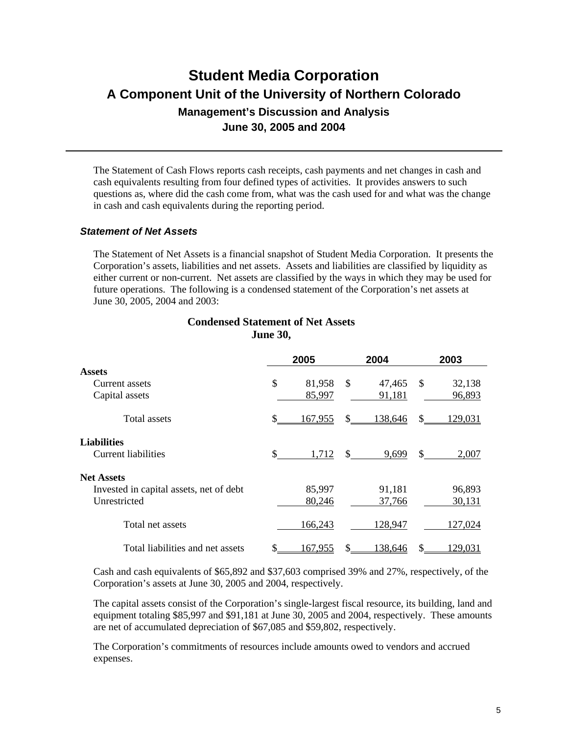The Statement of Cash Flows reports cash receipts, cash payments and net changes in cash and cash equivalents resulting from four defined types of activities. It provides answers to such questions as, where did the cash come from, what was the cash used for and what was the change in cash and cash equivalents during the reporting period.

#### *Statement of Net Assets*

The Statement of Net Assets is a financial snapshot of Student Media Corporation. It presents the Corporation's assets, liabilities and net assets. Assets and liabilities are classified by liquidity as either current or non-current. Net assets are classified by the ways in which they may be used for future operations. The following is a condensed statement of the Corporation's net assets at June 30, 2005, 2004 and 2003:

|                                         |     | 2005    |     | 2004    |    | 2003    |
|-----------------------------------------|-----|---------|-----|---------|----|---------|
| <b>Assets</b>                           |     |         |     |         |    |         |
| Current assets                          | \$  | 81,958  | S   | 47,465  | S  | 32,138  |
| Capital assets                          |     | 85,997  |     | 91,181  |    | 96,893  |
| Total assets                            | \$. | 167,955 | S.  | 138,646 | S  | 129,031 |
| <b>Liabilities</b>                      |     |         |     |         |    |         |
| <b>Current liabilities</b>              | \$. | 1,712   | \$. | 9,699   | \$ | 2.007   |
| <b>Net Assets</b>                       |     |         |     |         |    |         |
| Invested in capital assets, net of debt |     | 85,997  |     | 91,181  |    | 96,893  |
| Unrestricted                            |     | 80,246  |     | 37,766  |    | 30,131  |
| Total net assets                        |     | 166,243 |     | 128,947 |    | 127,024 |
| Total liabilities and net assets        |     | 167,955 | S   | 138,646 | S  | 129,031 |

#### **Condensed Statement of Net Assets June 30,**

Cash and cash equivalents of \$65,892 and \$37,603 comprised 39% and 27%, respectively, of the Corporation's assets at June 30, 2005 and 2004, respectively.

The capital assets consist of the Corporation's single-largest fiscal resource, its building, land and equipment totaling \$85,997 and \$91,181 at June 30, 2005 and 2004, respectively. These amounts are net of accumulated depreciation of \$67,085 and \$59,802, respectively.

The Corporation's commitments of resources include amounts owed to vendors and accrued expenses.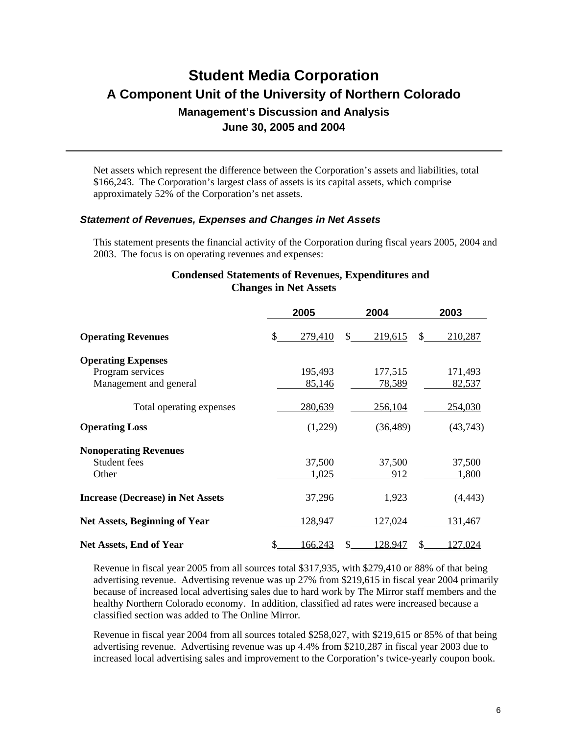Net assets which represent the difference between the Corporation's assets and liabilities, total \$166,243. The Corporation's largest class of assets is its capital assets, which comprise approximately 52% of the Corporation's net assets.

#### *Statement of Revenues, Expenses and Changes in Net Assets*

This statement presents the financial activity of the Corporation during fiscal years 2005, 2004 and 2003. The focus is on operating revenues and expenses:

#### **Condensed Statements of Revenues, Expenditures and Changes in Net Assets**

|                                          | 2005          | 2004          | 2003           |  |
|------------------------------------------|---------------|---------------|----------------|--|
| <b>Operating Revenues</b>                | \$<br>279,410 | 219,615<br>S. | 210,287<br>\$. |  |
| <b>Operating Expenses</b>                |               |               |                |  |
| Program services                         | 195,493       | 177,515       | 171,493        |  |
| Management and general                   | 85,146        | 78,589        | 82,537         |  |
| Total operating expenses                 | 280,639       | 256,104       | 254,030        |  |
| <b>Operating Loss</b>                    | (1,229)       | (36, 489)     | (43,743)       |  |
| <b>Nonoperating Revenues</b>             |               |               |                |  |
| Student fees                             | 37,500        | 37,500        | 37,500         |  |
| Other                                    | 1,025         | 912           | 1,800          |  |
| <b>Increase (Decrease) in Net Assets</b> | 37,296        | 1,923         | (4, 443)       |  |
| <b>Net Assets, Beginning of Year</b>     | 128,947       | 127,024       | 131,467        |  |
| Net Assets, End of Year                  | 166,243       | 128,947       | 127,024        |  |

Revenue in fiscal year 2005 from all sources total \$317,935, with \$279,410 or 88% of that being advertising revenue. Advertising revenue was up 27% from \$219,615 in fiscal year 2004 primarily because of increased local advertising sales due to hard work by The Mirror staff members and the healthy Northern Colorado economy. In addition, classified ad rates were increased because a classified section was added to The Online Mirror.

Revenue in fiscal year 2004 from all sources totaled \$258,027, with \$219,615 or 85% of that being advertising revenue. Advertising revenue was up 4.4% from \$210,287 in fiscal year 2003 due to increased local advertising sales and improvement to the Corporation's twice-yearly coupon book.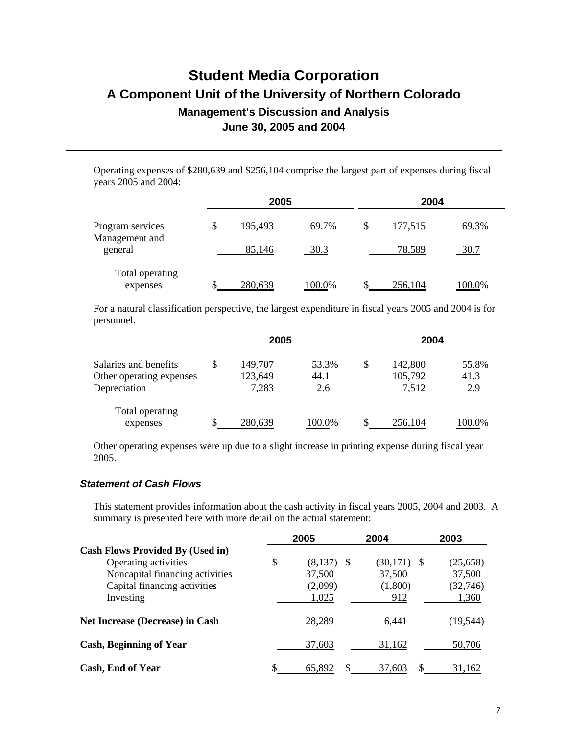Operating expenses of \$280,639 and \$256,104 comprise the largest part of expenses during fiscal years 2005 and 2004:

|                                    | 2005          |        | 2004 |         |        |
|------------------------------------|---------------|--------|------|---------|--------|
| Program services<br>Management and | \$<br>195,493 | 69.7%  | \$   | 177,515 | 69.3%  |
| general                            | 85,146        | 30.3   |      | 78,589  | 30.7   |
| Total operating<br>expenses        | 280,639       | 100.0% |      | 256,104 | 100.0% |

For a natural classification perspective, the largest expenditure in fiscal years 2005 and 2004 is for personnel.

|                                                                   |   | 2005                        |                      | 2004 |                             |                      |
|-------------------------------------------------------------------|---|-----------------------------|----------------------|------|-----------------------------|----------------------|
| Salaries and benefits<br>Other operating expenses<br>Depreciation | S | 149,707<br>123,649<br>7,283 | 53.3%<br>44.1<br>2.6 | \$   | 142,800<br>105,792<br>7,512 | 55.8%<br>41.3<br>2.9 |
| Total operating<br>expenses                                       |   | 280,639                     | 100.0%               |      | 256.104                     | 100.0%               |

Other operating expenses were up due to a slight increase in printing expense during fiscal year 2005.

#### *Statement of Cash Flows*

This statement provides information about the cash activity in fiscal years 2005, 2004 and 2003. A summary is presented here with more detail on the actual statement:

|                                         | 2005          | 2004            | 2003            |
|-----------------------------------------|---------------|-----------------|-----------------|
| <b>Cash Flows Provided By (Used in)</b> |               |                 |                 |
| Operating activities                    | \$<br>(8,137) | (30, 171)<br>-8 | (25, 658)<br>-S |
| Noncapital financing activities         | 37,500        | 37,500          | 37,500          |
| Capital financing activities            | (2,099)       | (1,800)         | (32, 746)       |
| Investing                               | 1,025         | 912             | 1,360           |
| <b>Net Increase (Decrease) in Cash</b>  | 28,289        | 6,441           | (19, 544)       |
| <b>Cash, Beginning of Year</b>          | 37,603        | 31,162          | 50,706          |
| Cash, End of Year                       | 65,892        | S.<br>37,603    | 31,162          |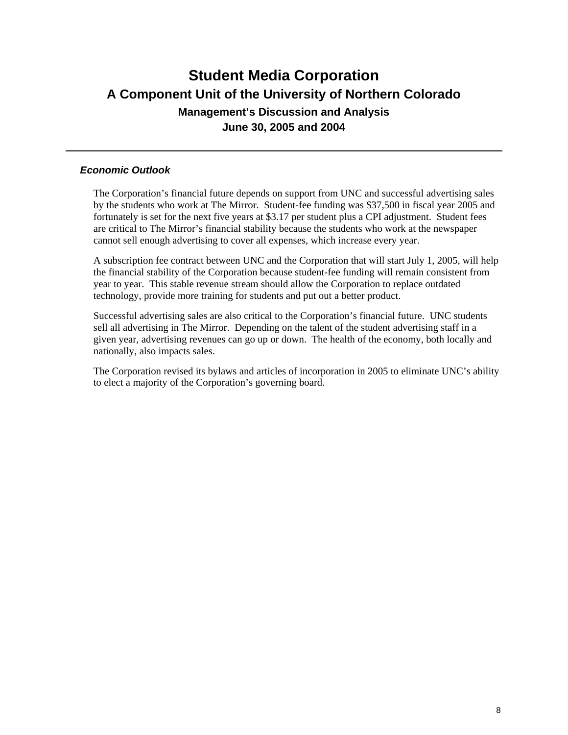### *Economic Outlook*

The Corporation's financial future depends on support from UNC and successful advertising sales by the students who work at The Mirror. Student-fee funding was \$37,500 in fiscal year 2005 and fortunately is set for the next five years at \$3.17 per student plus a CPI adjustment. Student fees are critical to The Mirror's financial stability because the students who work at the newspaper cannot sell enough advertising to cover all expenses, which increase every year.

A subscription fee contract between UNC and the Corporation that will start July 1, 2005, will help the financial stability of the Corporation because student-fee funding will remain consistent from year to year. This stable revenue stream should allow the Corporation to replace outdated technology, provide more training for students and put out a better product.

Successful advertising sales are also critical to the Corporation's financial future. UNC students sell all advertising in The Mirror. Depending on the talent of the student advertising staff in a given year, advertising revenues can go up or down. The health of the economy, both locally and nationally, also impacts sales.

The Corporation revised its bylaws and articles of incorporation in 2005 to eliminate UNC's ability to elect a majority of the Corporation's governing board.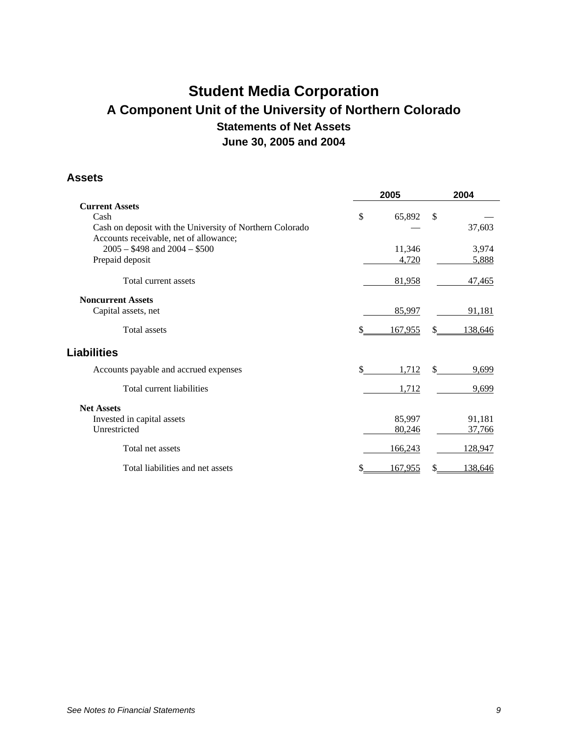# **Student Media Corporation A Component Unit of the University of Northern Colorado Statements of Net Assets June 30, 2005 and 2004**

#### **Assets**

|                                                                                                    | 2005           | 2004          |
|----------------------------------------------------------------------------------------------------|----------------|---------------|
| <b>Current Assets</b>                                                                              |                |               |
| Cash                                                                                               | \$<br>65,892   | \$            |
| Cash on deposit with the University of Northern Colorado<br>Accounts receivable, net of allowance; |                | 37,603        |
| $2005 - $498$ and $2004 - $500$                                                                    | 11,346         | 3,974         |
| Prepaid deposit                                                                                    | 4,720          | 5,888         |
| Total current assets                                                                               | 81,958         | 47,465        |
| <b>Noncurrent Assets</b>                                                                           |                |               |
| Capital assets, net                                                                                | 85,997         | 91,181        |
| <b>Total assets</b>                                                                                | 167,955        | \$<br>138,646 |
| <b>Liabilities</b>                                                                                 |                |               |
| Accounts payable and accrued expenses                                                              | \$<br>1,712    | \$<br>9,699   |
| Total current liabilities                                                                          | 1,712          | 9,699         |
| <b>Net Assets</b>                                                                                  |                |               |
| Invested in capital assets                                                                         | 85,997         | 91,181        |
| Unrestricted                                                                                       | 80,246         | 37,766        |
| Total net assets                                                                                   | 166,243        | 128,947       |
| Total liabilities and net assets                                                                   | <u>167,955</u> | 138,646       |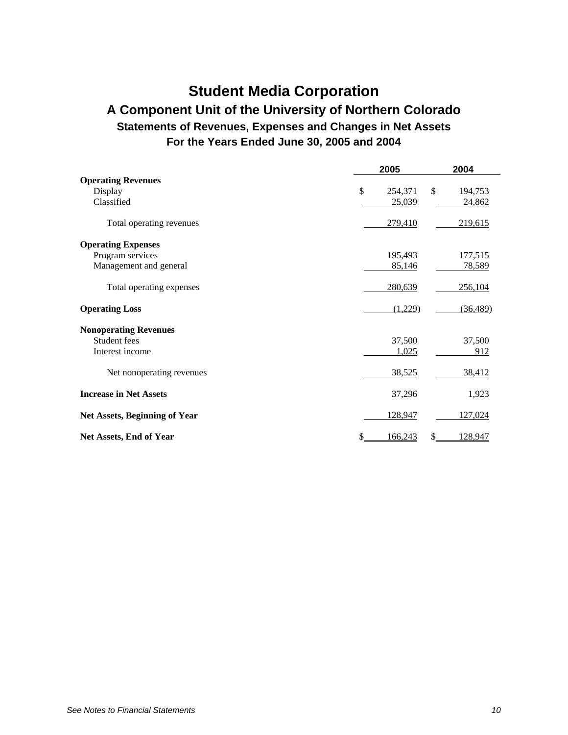# **Student Media Corporation**

### **A Component Unit of the University of Northern Colorado Statements of Revenues, Expenses and Changes in Net Assets For the Years Ended June 30, 2005 and 2004**

|                                      | 2005          | 2004           |  |  |
|--------------------------------------|---------------|----------------|--|--|
| <b>Operating Revenues</b>            |               |                |  |  |
| Display                              | \$<br>254,371 | \$<br>194,753  |  |  |
| Classified                           | 25,039        | 24,862         |  |  |
| Total operating revenues             | 279,410       | 219,615        |  |  |
| <b>Operating Expenses</b>            |               |                |  |  |
| Program services                     | 195,493       | 177,515        |  |  |
| Management and general               | 85,146        | 78,589         |  |  |
| Total operating expenses             | 280,639       | 256,104        |  |  |
| <b>Operating Loss</b>                | (1,229)       | (36, 489)      |  |  |
| <b>Nonoperating Revenues</b>         |               |                |  |  |
| Student fees                         | 37,500        | 37,500         |  |  |
| Interest income                      | 1,025         | 912            |  |  |
| Net nonoperating revenues            | 38,525        | 38,412         |  |  |
| <b>Increase in Net Assets</b>        | 37,296        | 1,923          |  |  |
| <b>Net Assets, Beginning of Year</b> | 128,947       | 127,024        |  |  |
| Net Assets, End of Year              | \$<br>166,243 | \$.<br>128,947 |  |  |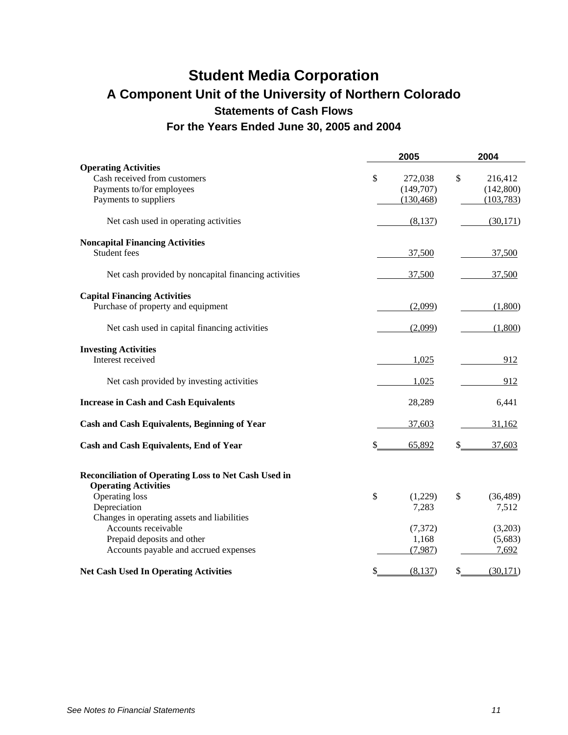### **Student Media Corporation A Component Unit of the University of Northern Colorado Statements of Cash Flows For the Years Ended June 30, 2005 and 2004**

|                                                                                                                   | 2005                                     | 2004                                      |
|-------------------------------------------------------------------------------------------------------------------|------------------------------------------|-------------------------------------------|
| <b>Operating Activities</b><br>Cash received from customers<br>Payments to/for employees<br>Payments to suppliers | \$<br>272,038<br>(149,707)<br>(130, 468) | \$<br>216,412<br>(142, 800)<br>(103, 783) |
| Net cash used in operating activities                                                                             | (8,137)                                  | (30,171)                                  |
| <b>Noncapital Financing Activities</b><br>Student fees                                                            | 37,500                                   | 37,500                                    |
| Net cash provided by noncapital financing activities                                                              | 37,500                                   | 37,500                                    |
| <b>Capital Financing Activities</b><br>Purchase of property and equipment                                         | (2,099)                                  | (1,800)                                   |
| Net cash used in capital financing activities                                                                     | (2,099)                                  | (1,800)                                   |
| <b>Investing Activities</b><br>Interest received                                                                  | 1,025                                    | 912                                       |
| Net cash provided by investing activities                                                                         | 1,025                                    | 912                                       |
| <b>Increase in Cash and Cash Equivalents</b>                                                                      | 28,289                                   | 6,441                                     |
| <b>Cash and Cash Equivalents, Beginning of Year</b>                                                               | 37,603                                   | 31,162                                    |
| <b>Cash and Cash Equivalents, End of Year</b>                                                                     | 65,892<br>\$                             | 37,603<br>\$                              |
| Reconciliation of Operating Loss to Net Cash Used in<br><b>Operating Activities</b>                               |                                          |                                           |
| Operating loss<br>Depreciation<br>Changes in operating assets and liabilities                                     | \$<br>(1,229)<br>7,283                   | \$<br>(36, 489)<br>7,512                  |
| Accounts receivable                                                                                               | (7, 372)                                 | (3,203)                                   |
| Prepaid deposits and other<br>Accounts payable and accrued expenses                                               | 1,168<br>(7,987)                         | (5,683)<br>7,692                          |
| <b>Net Cash Used In Operating Activities</b>                                                                      | (8,137)<br>\$                            | (30,171)<br>\$                            |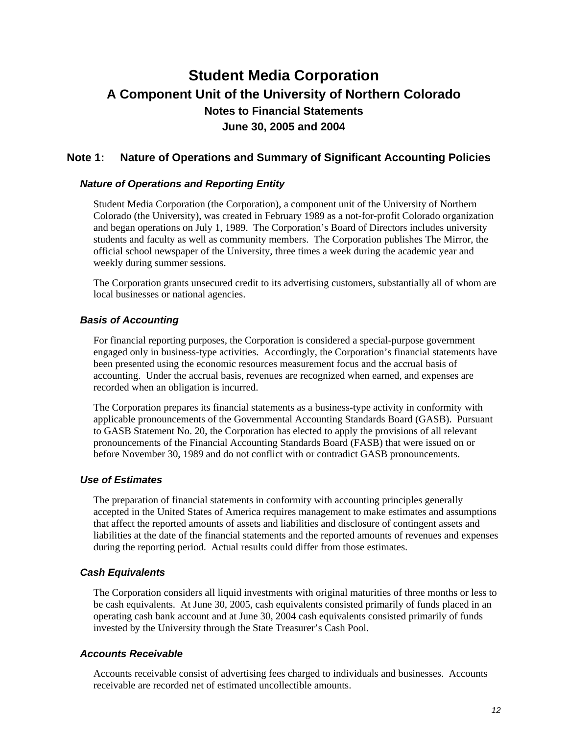### **Note 1: Nature of Operations and Summary of Significant Accounting Policies**

#### *Nature of Operations and Reporting Entity*

Student Media Corporation (the Corporation), a component unit of the University of Northern Colorado (the University), was created in February 1989 as a not-for-profit Colorado organization and began operations on July 1, 1989. The Corporation's Board of Directors includes university students and faculty as well as community members. The Corporation publishes The Mirror, the official school newspaper of the University, three times a week during the academic year and weekly during summer sessions.

The Corporation grants unsecured credit to its advertising customers, substantially all of whom are local businesses or national agencies.

#### *Basis of Accounting*

For financial reporting purposes, the Corporation is considered a special-purpose government engaged only in business-type activities. Accordingly, the Corporation's financial statements have been presented using the economic resources measurement focus and the accrual basis of accounting. Under the accrual basis, revenues are recognized when earned, and expenses are recorded when an obligation is incurred.

The Corporation prepares its financial statements as a business-type activity in conformity with applicable pronouncements of the Governmental Accounting Standards Board (GASB). Pursuant to GASB Statement No. 20, the Corporation has elected to apply the provisions of all relevant pronouncements of the Financial Accounting Standards Board (FASB) that were issued on or before November 30, 1989 and do not conflict with or contradict GASB pronouncements.

#### *Use of Estimates*

The preparation of financial statements in conformity with accounting principles generally accepted in the United States of America requires management to make estimates and assumptions that affect the reported amounts of assets and liabilities and disclosure of contingent assets and liabilities at the date of the financial statements and the reported amounts of revenues and expenses during the reporting period. Actual results could differ from those estimates.

### *Cash Equivalents*

The Corporation considers all liquid investments with original maturities of three months or less to be cash equivalents. At June 30, 2005, cash equivalents consisted primarily of funds placed in an operating cash bank account and at June 30, 2004 cash equivalents consisted primarily of funds invested by the University through the State Treasurer's Cash Pool.

### *Accounts Receivable*

Accounts receivable consist of advertising fees charged to individuals and businesses. Accounts receivable are recorded net of estimated uncollectible amounts.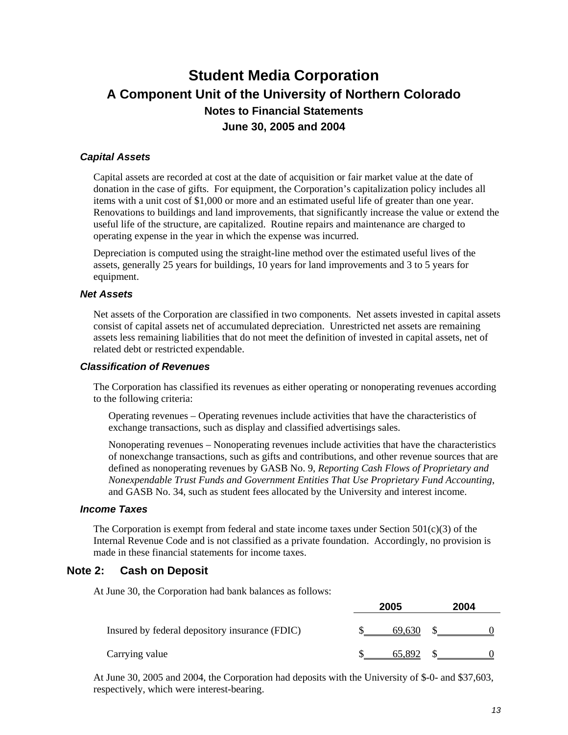### *Capital Assets*

Capital assets are recorded at cost at the date of acquisition or fair market value at the date of donation in the case of gifts. For equipment, the Corporation's capitalization policy includes all items with a unit cost of \$1,000 or more and an estimated useful life of greater than one year. Renovations to buildings and land improvements, that significantly increase the value or extend the useful life of the structure, are capitalized. Routine repairs and maintenance are charged to operating expense in the year in which the expense was incurred.

Depreciation is computed using the straight-line method over the estimated useful lives of the assets, generally 25 years for buildings, 10 years for land improvements and 3 to 5 years for equipment.

#### *Net Assets*

Net assets of the Corporation are classified in two components. Net assets invested in capital assets consist of capital assets net of accumulated depreciation. Unrestricted net assets are remaining assets less remaining liabilities that do not meet the definition of invested in capital assets, net of related debt or restricted expendable.

#### *Classification of Revenues*

The Corporation has classified its revenues as either operating or nonoperating revenues according to the following criteria:

Operating revenues – Operating revenues include activities that have the characteristics of exchange transactions, such as display and classified advertisings sales.

Nonoperating revenues – Nonoperating revenues include activities that have the characteristics of nonexchange transactions, such as gifts and contributions, and other revenue sources that are defined as nonoperating revenues by GASB No. 9, *Reporting Cash Flows of Proprietary and Nonexpendable Trust Funds and Government Entities That Use Proprietary Fund Accounting*, and GASB No. 34, such as student fees allocated by the University and interest income.

### *Income Taxes*

The Corporation is exempt from federal and state income taxes under Section  $501(c)(3)$  of the Internal Revenue Code and is not classified as a private foundation. Accordingly, no provision is made in these financial statements for income taxes.

### **Note 2: Cash on Deposit**

At June 30, the Corporation had bank balances as follows:

|                                                | 2005   | 2004 |  |
|------------------------------------------------|--------|------|--|
| Insured by federal depository insurance (FDIC) | 69.630 |      |  |
| Carrying value                                 | 65.892 |      |  |

At June 30, 2005 and 2004, the Corporation had deposits with the University of \$-0- and \$37,603, respectively, which were interest-bearing.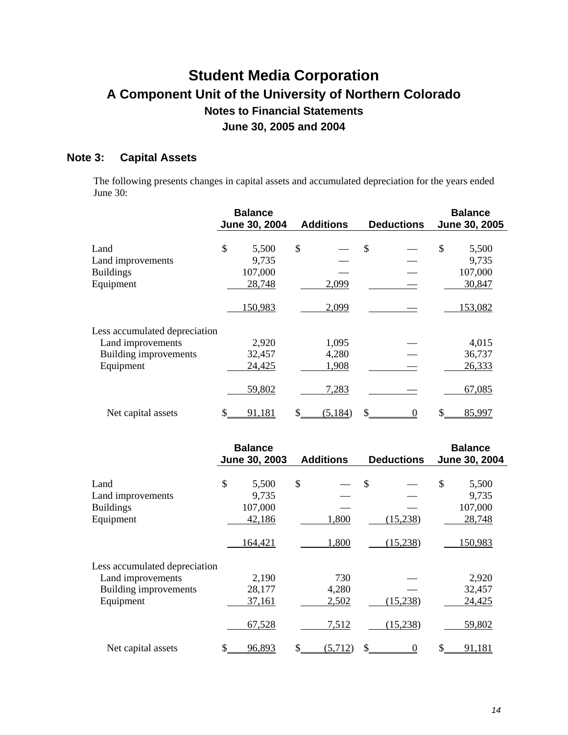### **Note 3: Capital Assets**

The following presents changes in capital assets and accumulated depreciation for the years ended June 30:

|                               | <b>Balance</b><br>June 30, 2004 | <b>Additions</b> | <b>Deductions</b> | <b>Balance</b><br>June 30, 2005 |
|-------------------------------|---------------------------------|------------------|-------------------|---------------------------------|
| Land                          | \$<br>5,500                     | \$               | \$                | \$<br>5,500                     |
| Land improvements             | 9,735                           |                  |                   | 9,735                           |
| <b>Buildings</b>              | 107,000                         |                  |                   | 107,000                         |
| Equipment                     | 28,748                          | 2,099            |                   | 30,847                          |
|                               | 150,983                         | 2,099            |                   | 153,082                         |
| Less accumulated depreciation |                                 |                  |                   |                                 |
| Land improvements             | 2,920                           | 1,095            |                   | 4,015                           |
| Building improvements         | 32,457                          | 4,280            |                   | 36,737                          |
| Equipment                     | 24,425                          | 1,908            |                   | 26,333                          |
|                               | 59,802                          | 7,283            |                   | 67,085                          |
| Net capital assets            | \$<br>91,181                    | (5, 184)         | \$<br>0           | 85,997                          |

|                               | <b>Balance</b> |         |                  |         |                   | <b>Balance</b><br>June 30, 2004 |    |         |
|-------------------------------|----------------|---------|------------------|---------|-------------------|---------------------------------|----|---------|
|                               | June 30, 2003  |         | <b>Additions</b> |         | <b>Deductions</b> |                                 |    |         |
|                               |                |         |                  |         |                   |                                 |    |         |
| Land                          | \$             | 5,500   | \$               |         | \$                |                                 | \$ | 5,500   |
| Land improvements             |                | 9,735   |                  |         |                   |                                 |    | 9,735   |
| <b>Buildings</b>              |                | 107,000 |                  |         |                   |                                 |    | 107,000 |
| Equipment                     |                | 42,186  |                  | 1,800   |                   | (15,238)                        |    | 28,748  |
|                               |                | 164,421 |                  | 1,800   |                   | (15,238)                        |    | 150,983 |
| Less accumulated depreciation |                |         |                  |         |                   |                                 |    |         |
| Land improvements             |                | 2,190   |                  | 730     |                   |                                 |    | 2,920   |
| Building improvements         |                | 28,177  |                  | 4,280   |                   |                                 |    | 32,457  |
| Equipment                     |                | 37,161  |                  | 2,502   |                   | (15,238)                        |    | 24,425  |
|                               |                | 67,528  |                  | 7,512   |                   | (15,238)                        |    | 59,802  |
| Net capital assets            |                | 96,893  |                  | (5,712) |                   | $\theta$                        |    | 91,181  |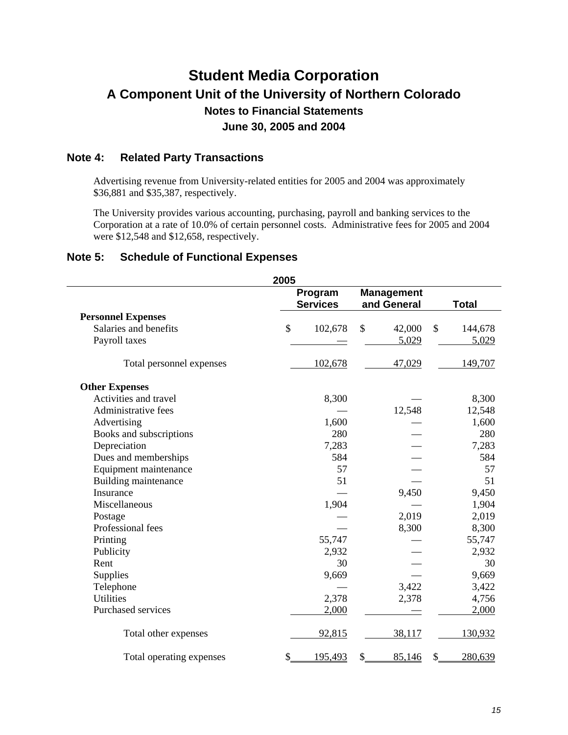### **Note 4: Related Party Transactions**

Advertising revenue from University-related entities for 2005 and 2004 was approximately \$36,881 and \$35,387, respectively.

The University provides various accounting, purchasing, payroll and banking services to the Corporation at a rate of 10.0% of certain personnel costs. Administrative fees for 2005 and 2004 were \$12,548 and \$12,658, respectively.

### **Note 5: Schedule of Functional Expenses**

| 2005                        |    |                            |                                  |               |  |  |
|-----------------------------|----|----------------------------|----------------------------------|---------------|--|--|
|                             |    | Program<br><b>Services</b> | <b>Management</b><br>and General | <b>Total</b>  |  |  |
| <b>Personnel Expenses</b>   |    |                            |                                  |               |  |  |
| Salaries and benefits       | \$ | 102,678                    | \$<br>42,000                     | \$<br>144,678 |  |  |
| Payroll taxes               |    |                            | 5,029                            | 5,029         |  |  |
| Total personnel expenses    |    | 102,678                    | 47,029                           | 149,707       |  |  |
| <b>Other Expenses</b>       |    |                            |                                  |               |  |  |
| Activities and travel       |    | 8,300                      |                                  | 8,300         |  |  |
| Administrative fees         |    |                            | 12,548                           | 12,548        |  |  |
| Advertising                 |    | 1,600                      |                                  | 1,600         |  |  |
| Books and subscriptions     |    | 280                        |                                  | 280           |  |  |
| Depreciation                |    | 7,283                      |                                  | 7,283         |  |  |
| Dues and memberships        |    | 584                        |                                  | 584           |  |  |
| Equipment maintenance       |    | 57                         |                                  | 57            |  |  |
| <b>Building maintenance</b> |    | 51                         |                                  | 51            |  |  |
| Insurance                   |    |                            | 9,450                            | 9,450         |  |  |
| Miscellaneous               |    | 1,904                      |                                  | 1,904         |  |  |
| Postage                     |    |                            | 2,019                            | 2,019         |  |  |
| Professional fees           |    |                            | 8,300                            | 8,300         |  |  |
| Printing                    |    | 55,747                     |                                  | 55,747        |  |  |
| Publicity                   |    | 2,932                      |                                  | 2,932         |  |  |
| Rent                        |    | 30                         |                                  | 30            |  |  |
| Supplies                    |    | 9,669                      |                                  | 9,669         |  |  |
| Telephone                   |    |                            | 3,422                            | 3,422         |  |  |
| <b>Utilities</b>            |    | 2,378                      | 2,378                            | 4,756         |  |  |
| Purchased services          |    | 2,000                      |                                  | 2,000         |  |  |
| Total other expenses        |    | 92,815                     | 38,117                           | 130,932       |  |  |
| Total operating expenses    | \$ | 195,493                    | \$<br>85,146                     | \$<br>280,639 |  |  |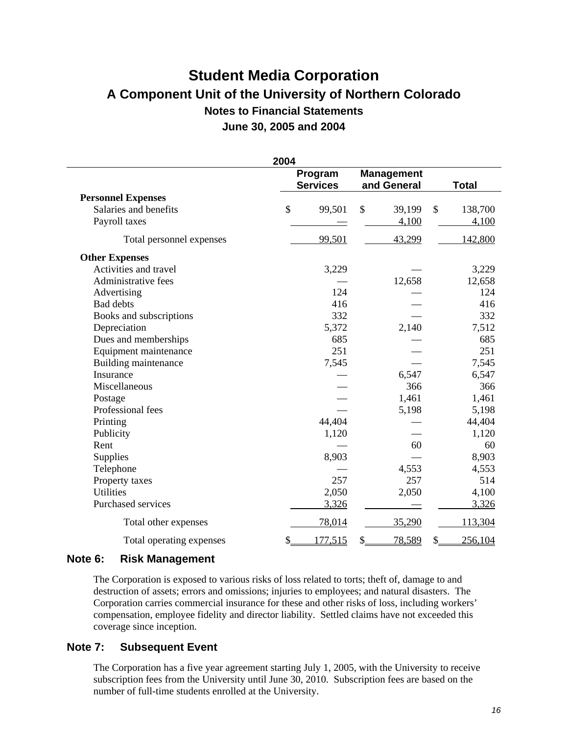| 2004                      |                            |         |                                  |        |              |         |  |  |
|---------------------------|----------------------------|---------|----------------------------------|--------|--------------|---------|--|--|
|                           | Program<br><b>Services</b> |         | <b>Management</b><br>and General |        | <b>Total</b> |         |  |  |
| <b>Personnel Expenses</b> |                            |         |                                  |        |              |         |  |  |
| Salaries and benefits     | \$                         | 99,501  | \$                               | 39,199 | \$           | 138,700 |  |  |
| Payroll taxes             |                            |         |                                  | 4,100  |              | 4,100   |  |  |
| Total personnel expenses  |                            | 99,501  |                                  | 43,299 |              | 142,800 |  |  |
| <b>Other Expenses</b>     |                            |         |                                  |        |              |         |  |  |
| Activities and travel     |                            | 3,229   |                                  |        |              | 3,229   |  |  |
| Administrative fees       |                            |         |                                  | 12,658 |              | 12,658  |  |  |
| Advertising               |                            | 124     |                                  |        |              | 124     |  |  |
| <b>Bad</b> debts          |                            | 416     |                                  |        |              | 416     |  |  |
| Books and subscriptions   |                            | 332     |                                  |        |              | 332     |  |  |
| Depreciation              |                            | 5,372   |                                  | 2,140  |              | 7,512   |  |  |
| Dues and memberships      |                            | 685     |                                  |        |              | 685     |  |  |
| Equipment maintenance     |                            | 251     |                                  |        |              | 251     |  |  |
| Building maintenance      |                            | 7,545   |                                  |        |              | 7,545   |  |  |
| Insurance                 |                            |         |                                  | 6,547  |              | 6,547   |  |  |
| Miscellaneous             |                            |         |                                  | 366    |              | 366     |  |  |
| Postage                   |                            |         |                                  | 1,461  |              | 1,461   |  |  |
| Professional fees         |                            |         |                                  | 5,198  |              | 5,198   |  |  |
| Printing                  |                            | 44,404  |                                  |        |              | 44,404  |  |  |
| Publicity                 |                            | 1,120   |                                  |        |              | 1,120   |  |  |
| Rent                      |                            |         |                                  | 60     |              | 60      |  |  |
| Supplies                  |                            | 8,903   |                                  |        |              | 8,903   |  |  |
| Telephone                 |                            |         |                                  | 4,553  |              | 4,553   |  |  |
| Property taxes            |                            | 257     |                                  | 257    |              | 514     |  |  |
| <b>Utilities</b>          |                            | 2,050   |                                  | 2,050  |              | 4,100   |  |  |
| Purchased services        |                            | 3,326   |                                  |        |              | 3,326   |  |  |
| Total other expenses      |                            | 78,014  |                                  | 35,290 |              | 113,304 |  |  |
| Total operating expenses  | \$                         | 177,515 | \$                               | 78,589 | \$           | 256,104 |  |  |

### **Note 6: Risk Management**

The Corporation is exposed to various risks of loss related to torts; theft of, damage to and destruction of assets; errors and omissions; injuries to employees; and natural disasters. The Corporation carries commercial insurance for these and other risks of loss, including workers' compensation, employee fidelity and director liability. Settled claims have not exceeded this coverage since inception.

### **Note 7: Subsequent Event**

The Corporation has a five year agreement starting July 1, 2005, with the University to receive subscription fees from the University until June 30, 2010. Subscription fees are based on the number of full-time students enrolled at the University.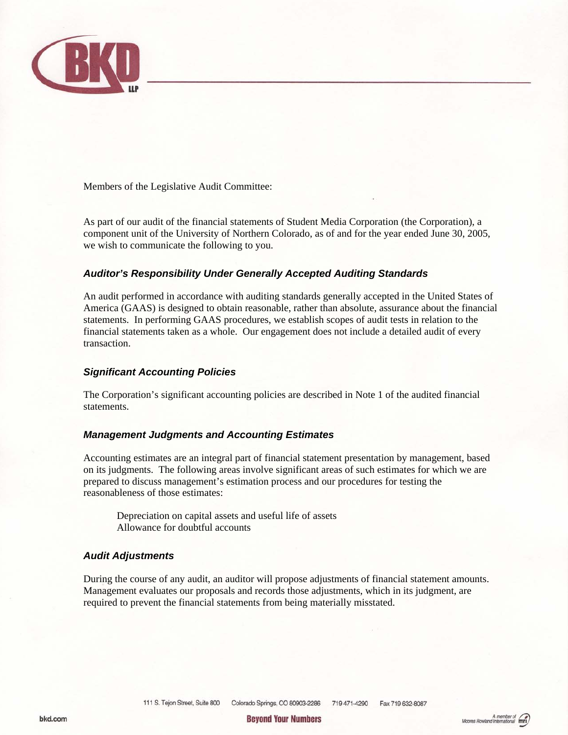

Members of the Legislative Audit Committee:

As part of our audit of the financial statements of Student Media Corporation (the Corporation), a component unit of the University of Northern Colorado, as of and for the year ended June 30, 2005, we wish to communicate the following to you.

### *Auditor's Responsibility Under Generally Accepted Auditing Standards*

An audit performed in accordance with auditing standards generally accepted in the United States of America (GAAS) is designed to obtain reasonable, rather than absolute, assurance about the financial statements. In performing GAAS procedures, we establish scopes of audit tests in relation to the financial statements taken as a whole. Our engagement does not include a detailed audit of every transaction.

#### *Significant Accounting Policies*

The Corporation's significant accounting policies are described in Note 1 of the audited financial statements.

#### *Management Judgments and Accounting Estimates*

Accounting estimates are an integral part of financial statement presentation by management, based on its judgments. The following areas involve significant areas of such estimates for which we are prepared to discuss management's estimation process and our procedures for testing the reasonableness of those estimates:

Depreciation on capital assets and useful life of assets Allowance for doubtful accounts

#### *Audit Adjustments*

During the course of any audit, an auditor will propose adjustments of financial statement amounts. Management evaluates our proposals and records those adjustments, which in its judgment, are required to prevent the financial statements from being materially misstated.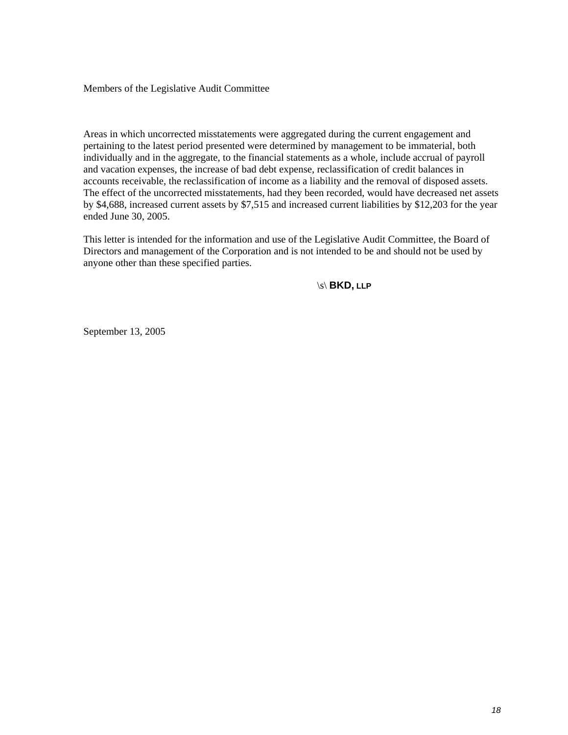Members of the Legislative Audit Committee

Areas in which uncorrected misstatements were aggregated during the current engagement and pertaining to the latest period presented were determined by management to be immaterial, both individually and in the aggregate, to the financial statements as a whole, include accrual of payroll and vacation expenses, the increase of bad debt expense, reclassification of credit balances in accounts receivable, the reclassification of income as a liability and the removal of disposed assets. The effect of the uncorrected misstatements, had they been recorded, would have decreased net assets by \$4,688, increased current assets by \$7,515 and increased current liabilities by \$12,203 for the year ended June 30, 2005.

This letter is intended for the information and use of the Legislative Audit Committee, the Board of Directors and management of the Corporation and is not intended to be and should not be used by anyone other than these specified parties.

\s\ **BKD, LLP** 

September 13, 2005